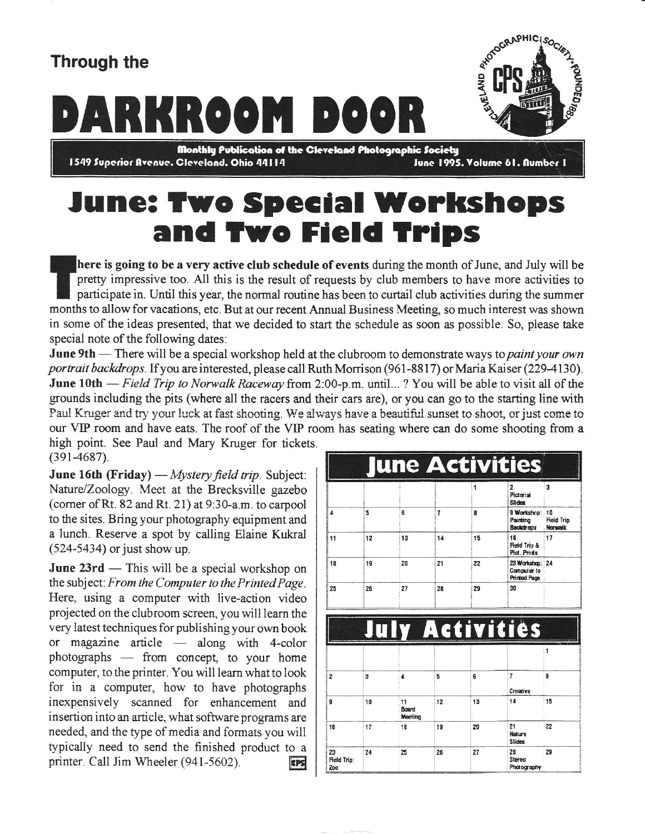## Through the

## Trough the antique of the Charles of the Charles of the Charles of the Charles of the Charles of the Charles of the Charles of the Charles of the Charles of the Charles of the Charles of the Charles of the Charles of the C



1549 Superior Avenue. Cleveland. Ohio 44114 June 1995. Volume 61. Number 1

## June: Two Special Workshops and Two Field Trips

here is going to be a very active club schedule of events during the month of June, and July will be pretty impressive too. All this is the result of requests by club members to have more activities to participate in. Until this year, the normal routine has been to curtail club activities during the summer months to allow for vacations, etc. But at our recent Annual Business Meeting so much interest was shown in some of the ideas presented, that we decided to start the schedule as soon as possible. So, please take special note of the following dates:

June 9th - There will be a special workshop held at the clubroom to demonstrate ways to paint your own portrait backdrops. If you are interested, please call Ruth Morrison (961-8817) or Maria Kaiser (229-4130). June 10th - Field Trip to Norwalk Raceway from 2:00-p.m. until...? You will be able to visit all of the grounds including the pits (where all the racers and their cars are), or you can go to the starting line with Paul Kruger and try your luck at fast shooting. We always have a beautiful sunset to shoot, or just come to our VIP room and have eats. The roof of the VIP room has seating where can do some shooting from a high point. See Paul and Mary Kruger for tickets.

 $(391-4687)$ .

**June 16th (Friday)**  $-M$ *ystery field trip.* Subject: Nature/Zoology. Meet at the Brecksville gazebo (corner of Rt. 82 and Rt. 21) at  $9:30-a.m.$  to carpool to the sites. Bring your photography equipment and a lunch. Reserve a spot by calling Elaine Kukral  $(524-5434)$  or just show up.

June 23rd — This will be a special workshop on the subject: From the Computer to the Printed Page. Here, using a computer with live-action video projected on the clubroom screen, you will learn the very latest techniques for publishing your own book or magazine article  $-$  along with 4-color photographs - from concept, to your home computer, to the printer. You will leam what to look for in a computer, how to have photographs inexpensively scanned for enhancement and insertion into an article, what software programs are needed, and the type of media and formats you will typically need to send the finished product to a printer. Call Jim Wheeler (941-5602). EPS

|                |    |                        |                | 1  | 2<br>Pictorial<br><b>Slides</b>                       | 3                                  |
|----------------|----|------------------------|----------------|----|-------------------------------------------------------|------------------------------------|
| 4              | 5  | 6                      | $\overline{1}$ | 8  | 9 Workshop:<br>Painting<br>Backdroos                  | 10<br><b>Field Trip</b><br>Norwalk |
| 11             | 12 | 13                     | 14             | 15 | 16<br>Field Trip &<br>Pict. Prints                    | 17                                 |
| 18             | 19 | 20                     | 21             | 22 | 23 Workshop: 24<br>Computer to<br><b>Printed Page</b> |                                    |
| 25             | 26 | 27                     | 28             | 29 | 30                                                    |                                    |
|                |    |                        |                |    | y Activities                                          |                                    |
|                |    |                        |                |    |                                                       | $\mathbf{1}$                       |
| $\overline{c}$ | 3  | 4                      | 5              | 6  | $\overline{\mathcal{L}}$<br>Creative                  | 8                                  |
| 9              | 10 | 11<br>Board<br>Meeting | 12             | 13 | 14                                                    | 15                                 |
| 16             | 17 | 18                     | 19             | 20 | 21<br>Nature<br><b>Slides</b>                         | 22                                 |